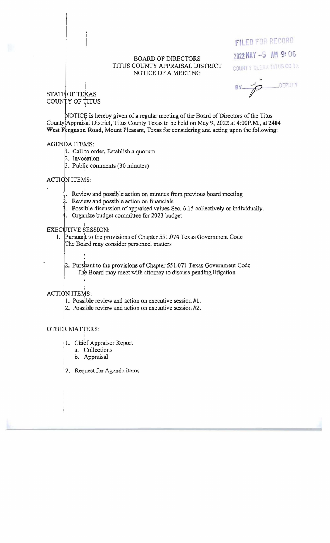#### BOARD OF DIRECTORS TITUS COUNTY APPRAISAL DISTRICT NOTICE OF A MEETING

# **FILED FOR RECORD**

2022 MAY -5 AM 9: 06

COUNTY CLERK THUS CO IX

DEPUTY  $BY - D$ 

#### ! STATE OF TEXAS COUNTY OF TITUS

,

NOTICE is hereby given of a regular meeting of the Board of Directors of the Titus County Appraisal District, Titus County Texas to be held on May 9, 2022 at 4:00P.M., at 2404 **West Ferguson Road,** Mount Pleasant, Texas for considering and acting upon the following:

### AGENDA ITEMS:

- 1. Call to order, Establish a quorum 2. Invocation
- 

I

. Public comments (30 minutes) <sup>I</sup>

## ACTION ITEMS:

- Review and possible action on minutes from previous board meeting
- 2. Review and possible action on financials
- . Possi'ble discussion ofappraised values Sec. 6.15 collectively or individually.
- $4.$  Organize budget committee for 2023 budget

## EXECUTIVE SESSION:

- 1. Pursuan't to the provisions of Chapter 551.074 Texas Government Code The Board may consider personnel matters
	- 2. Purshant to the provisions of Chapter 551.071 Texas Government Code The Board may meet with attorney to discuss pending litigation

# ACTION ITEMS:

- 1. Possible review and action on executive session #l.
- 2. Possible review and action on executive session #2.

# OTHER MATTERS:

- 1. Chief Appraiser Report
	- a. Collections
	- b. Appraisal

I

:2. Request for Agenda items